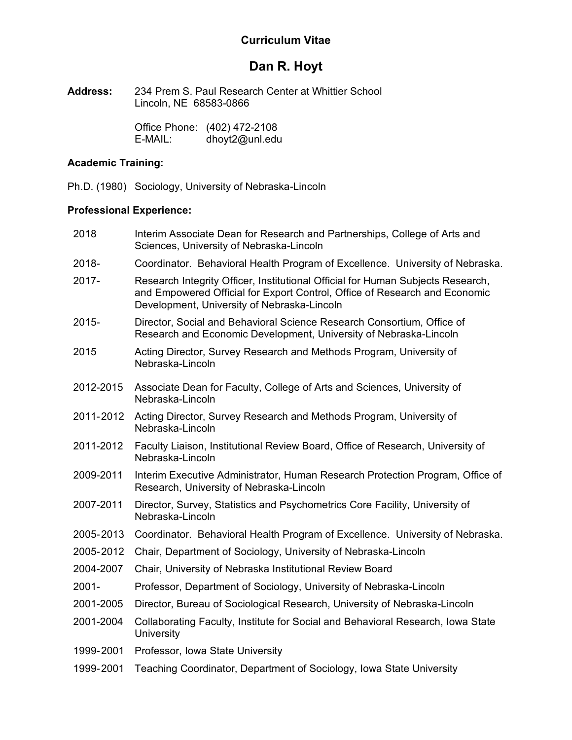# **Curriculum Vitae**

# **Dan R. Hoyt**

**Address:** 234 Prem S. Paul Research Center at Whittier School Lincoln, NE 68583-0866

> Office Phone: (402) 472-2108 E-MAIL: dhoyt2@unl.edu

# **Academic Training:**

Ph.D. (1980) Sociology, University of Nebraska-Lincoln

# **Professional Experience:**

- 2018 Interim Associate Dean for Research and Partnerships, College of Arts and Sciences, University of Nebraska-Lincoln
- 2018- Coordinator. Behavioral Health Program of Excellence. University of Nebraska.
- 2017- Research Integrity Officer, Institutional Official for Human Subjects Research, and Empowered Official for Export Control, Office of Research and Economic Development, University of Nebraska-Lincoln
- 2015- Director, Social and Behavioral Science Research Consortium, Office of Research and Economic Development, University of Nebraska-Lincoln
- 2015 Acting Director, Survey Research and Methods Program, University of Nebraska-Lincoln
- 2012-2015 Associate Dean for Faculty, College of Arts and Sciences, University of Nebraska-Lincoln
- 2011-2012 Acting Director, Survey Research and Methods Program, University of Nebraska-Lincoln
- 2011-2012 Faculty Liaison, Institutional Review Board, Office of Research, University of Nebraska-Lincoln
- 2009-2011 Interim Executive Administrator, Human Research Protection Program, Office of Research, University of Nebraska-Lincoln
- 2007-2011 Director, Survey, Statistics and Psychometrics Core Facility, University of Nebraska-Lincoln
- 2005-2013 Coordinator. Behavioral Health Program of Excellence. University of Nebraska.
- 2005-2012 Chair, Department of Sociology, University of Nebraska-Lincoln
- 2004-2007 Chair, University of Nebraska Institutional Review Board
- 2001- Professor, Department of Sociology, University of Nebraska-Lincoln
- 2001-2005 Director, Bureau of Sociological Research, University of Nebraska-Lincoln
- 2001-2004 Collaborating Faculty, Institute for Social and Behavioral Research, Iowa State **University**
- 1999-2001 Professor, Iowa State University
- 1999-2001 Teaching Coordinator, Department of Sociology, Iowa State University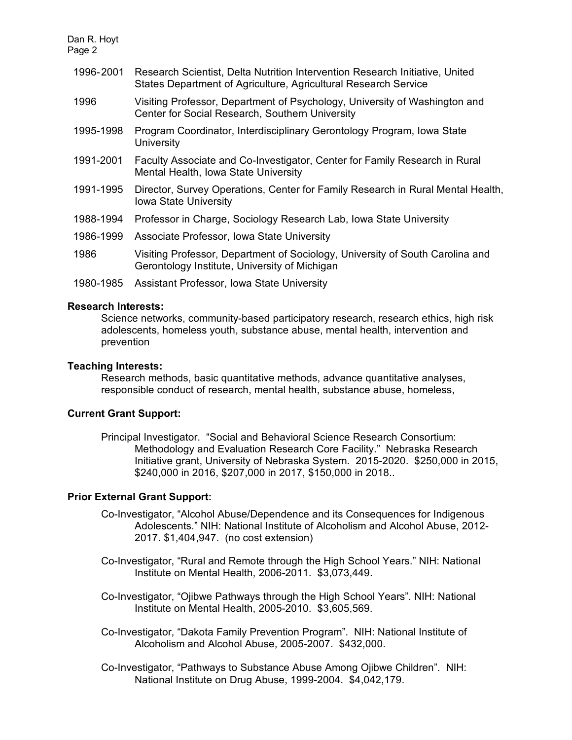| 1996-2001 | Research Scientist, Delta Nutrition Intervention Research Initiative, United<br>States Department of Agriculture, Agricultural Research Service |
|-----------|-------------------------------------------------------------------------------------------------------------------------------------------------|
| 1996      | Visiting Professor, Department of Psychology, University of Washington and<br>Center for Social Research, Southern University                   |
| 1995-1998 | Program Coordinator, Interdisciplinary Gerontology Program, Iowa State<br>University                                                            |
| 1991-2001 | Faculty Associate and Co-Investigator, Center for Family Research in Rural<br>Mental Health, Iowa State University                              |
| 1991-1995 | Director, Survey Operations, Center for Family Research in Rural Mental Health,<br>Iowa State University                                        |
| 1988-1994 | Professor in Charge, Sociology Research Lab, Iowa State University                                                                              |
| 1986-1999 | Associate Professor, Iowa State University                                                                                                      |
| 1986      | Visiting Professor, Department of Sociology, University of South Carolina and<br>Gerontology Institute, University of Michigan                  |
| 1980-1985 | Assistant Professor, Iowa State University                                                                                                      |

### **Research Interests:**

Science networks, community-based participatory research, research ethics, high risk adolescents, homeless youth, substance abuse, mental health, intervention and prevention

#### **Teaching Interests:**

Research methods, basic quantitative methods, advance quantitative analyses, responsible conduct of research, mental health, substance abuse, homeless,

### **Current Grant Support:**

Principal Investigator. "Social and Behavioral Science Research Consortium: Methodology and Evaluation Research Core Facility." Nebraska Research Initiative grant, University of Nebraska System. 2015-2020. \$250,000 in 2015, \$240,000 in 2016, \$207,000 in 2017, \$150,000 in 2018..

### **Prior External Grant Support:**

- Co-Investigator, "Alcohol Abuse/Dependence and its Consequences for Indigenous Adolescents." NIH: National Institute of Alcoholism and Alcohol Abuse, 2012- 2017. \$1,404,947. (no cost extension)
- Co-Investigator, "Rural and Remote through the High School Years." NIH: National Institute on Mental Health, 2006-2011. \$3,073,449.
- Co-Investigator, "Ojibwe Pathways through the High School Years". NIH: National Institute on Mental Health, 2005-2010. \$3,605,569.
- Co-Investigator, "Dakota Family Prevention Program". NIH: National Institute of Alcoholism and Alcohol Abuse, 2005-2007. \$432,000.
- Co-Investigator, "Pathways to Substance Abuse Among Ojibwe Children". NIH: National Institute on Drug Abuse, 1999-2004. \$4,042,179.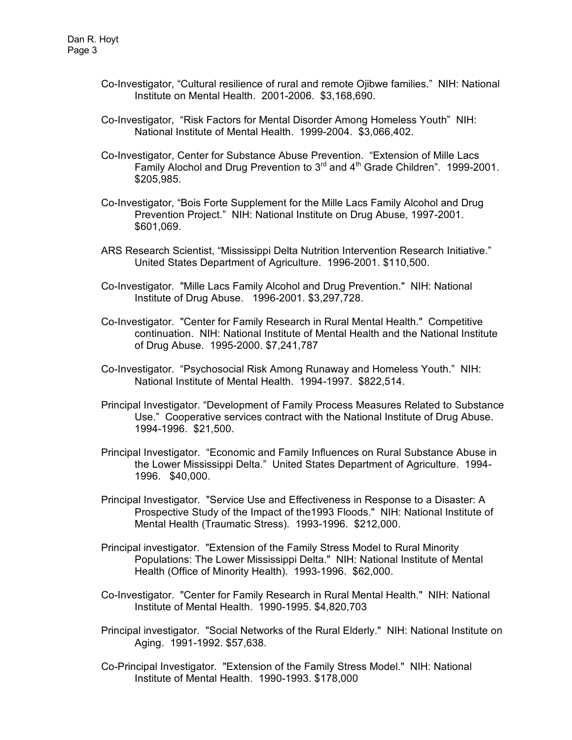- Co-Investigator, "Cultural resilience of rural and remote Ojibwe families." NIH: National Institute on Mental Health. 2001-2006. \$3,168,690.
- Co-Investigator, "Risk Factors for Mental Disorder Among Homeless Youth" NIH: National Institute of Mental Health. 1999-2004. \$3,066,402.
- Co-Investigator, Center for Substance Abuse Prevention. "Extension of Mille Lacs Family Alochol and Drug Prevention to 3<sup>rd</sup> and 4<sup>th</sup> Grade Children". 1999-2001. \$205,985.
- Co-Investigator, "Bois Forte Supplement for the Mille Lacs Family Alcohol and Drug Prevention Project." NIH: National Institute on Drug Abuse, 1997-2001. \$601,069.
- ARS Research Scientist, "Mississippi Delta Nutrition Intervention Research Initiative." United States Department of Agriculture. 1996-2001. \$110,500.
- Co-Investigator. "Mille Lacs Family Alcohol and Drug Prevention." NIH: National Institute of Drug Abuse. 1996-2001. \$3,297,728.
- Co-Investigator. "Center for Family Research in Rural Mental Health." Competitive continuation. NIH: National Institute of Mental Health and the National Institute of Drug Abuse. 1995-2000. \$7,241,787
- Co-Investigator. "Psychosocial Risk Among Runaway and Homeless Youth." NIH: National Institute of Mental Health. 1994-1997. \$822,514.
- Principal Investigator. "Development of Family Process Measures Related to Substance Use." Cooperative services contract with the National Institute of Drug Abuse. 1994-1996. \$21,500.
- Principal Investigator. "Economic and Family Influences on Rural Substance Abuse in the Lower Mississippi Delta." United States Department of Agriculture. 1994- 1996. \$40,000.
- Principal Investigator. "Service Use and Effectiveness in Response to a Disaster: A Prospective Study of the Impact of the1993 Floods." NIH: National Institute of Mental Health (Traumatic Stress). 1993-1996. \$212,000.
- Principal investigator. "Extension of the Family Stress Model to Rural Minority Populations: The Lower Mississippi Delta." NIH: National Institute of Mental Health (Office of Minority Health). 1993-1996. \$62,000.
- Co-Investigator. "Center for Family Research in Rural Mental Health." NIH: National Institute of Mental Health. 1990-1995. \$4,820,703
- Principal investigator. "Social Networks of the Rural Elderly." NIH: National Institute on Aging. 1991-1992. \$57,638.
- Co-Principal Investigator. "Extension of the Family Stress Model." NIH: National Institute of Mental Health. 1990-1993. \$178,000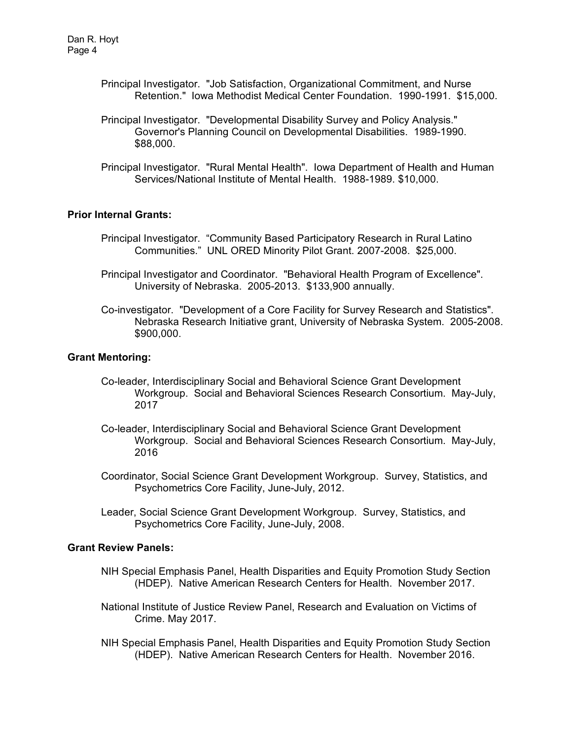- Principal Investigator. "Job Satisfaction, Organizational Commitment, and Nurse Retention." Iowa Methodist Medical Center Foundation. 1990-1991. \$15,000.
- Principal Investigator. "Developmental Disability Survey and Policy Analysis." Governor's Planning Council on Developmental Disabilities. 1989-1990. \$88,000.
- Principal Investigator. "Rural Mental Health". Iowa Department of Health and Human Services/National Institute of Mental Health. 1988-1989. \$10,000.

### **Prior Internal Grants:**

- Principal Investigator. "Community Based Participatory Research in Rural Latino Communities." UNL ORED Minority Pilot Grant. 2007-2008. \$25,000.
- Principal Investigator and Coordinator. "Behavioral Health Program of Excellence". University of Nebraska. 2005-2013. \$133,900 annually.
- Co-investigator. "Development of a Core Facility for Survey Research and Statistics". Nebraska Research Initiative grant, University of Nebraska System. 2005-2008. \$900,000.

### **Grant Mentoring:**

- Co-leader, Interdisciplinary Social and Behavioral Science Grant Development Workgroup. Social and Behavioral Sciences Research Consortium. May-July, 2017
- Co-leader, Interdisciplinary Social and Behavioral Science Grant Development Workgroup. Social and Behavioral Sciences Research Consortium. May-July, 2016
- Coordinator, Social Science Grant Development Workgroup. Survey, Statistics, and Psychometrics Core Facility, June-July, 2012.
- Leader, Social Science Grant Development Workgroup. Survey, Statistics, and Psychometrics Core Facility, June-July, 2008.

### **Grant Review Panels:**

- NIH Special Emphasis Panel, Health Disparities and Equity Promotion Study Section (HDEP). Native American Research Centers for Health. November 2017.
- National Institute of Justice Review Panel, Research and Evaluation on Victims of Crime. May 2017.
- NIH Special Emphasis Panel, Health Disparities and Equity Promotion Study Section (HDEP). Native American Research Centers for Health. November 2016.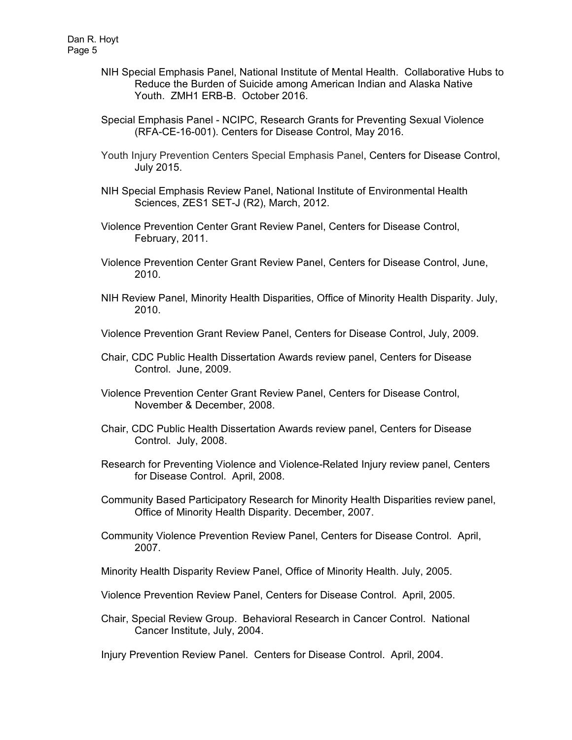- NIH Special Emphasis Panel, National Institute of Mental Health. Collaborative Hubs to Reduce the Burden of Suicide among American Indian and Alaska Native Youth. ZMH1 ERB-B. October 2016.
- Special Emphasis Panel NCIPC, Research Grants for Preventing Sexual Violence (RFA-CE-16-001). Centers for Disease Control, May 2016.
- Youth Injury Prevention Centers Special Emphasis Panel, Centers for Disease Control, July 2015.
- NIH Special Emphasis Review Panel, National Institute of Environmental Health Sciences, ZES1 SET-J (R2), March, 2012.
- Violence Prevention Center Grant Review Panel, Centers for Disease Control, February, 2011.
- Violence Prevention Center Grant Review Panel, Centers for Disease Control, June, 2010.
- NIH Review Panel, Minority Health Disparities, Office of Minority Health Disparity. July, 2010.
- Violence Prevention Grant Review Panel, Centers for Disease Control, July, 2009.
- Chair, CDC Public Health Dissertation Awards review panel, Centers for Disease Control. June, 2009.
- Violence Prevention Center Grant Review Panel, Centers for Disease Control, November & December, 2008.
- Chair, CDC Public Health Dissertation Awards review panel, Centers for Disease Control. July, 2008.
- Research for Preventing Violence and Violence-Related Injury review panel, Centers for Disease Control. April, 2008.
- Community Based Participatory Research for Minority Health Disparities review panel, Office of Minority Health Disparity. December, 2007.
- Community Violence Prevention Review Panel, Centers for Disease Control. April, 2007.
- Minority Health Disparity Review Panel, Office of Minority Health. July, 2005.
- Violence Prevention Review Panel, Centers for Disease Control. April, 2005.
- Chair, Special Review Group. Behavioral Research in Cancer Control. National Cancer Institute, July, 2004.
- Injury Prevention Review Panel. Centers for Disease Control. April, 2004.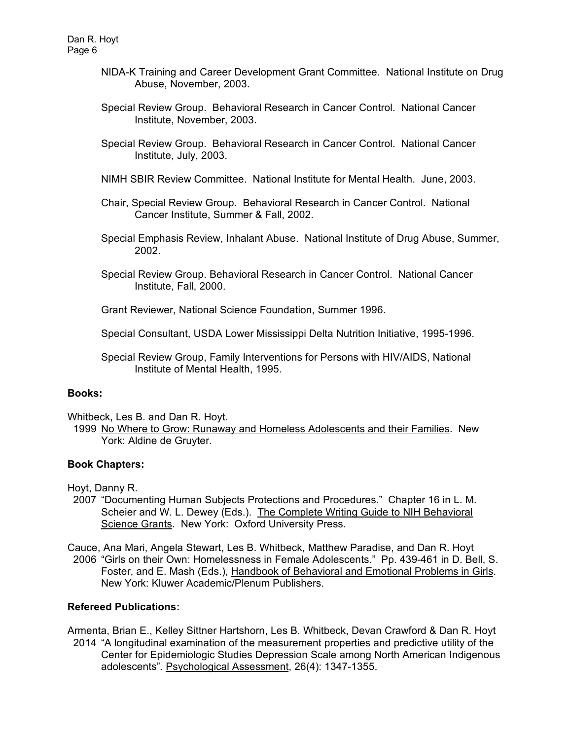- NIDA-K Training and Career Development Grant Committee. National Institute on Drug Abuse, November, 2003.
- Special Review Group. Behavioral Research in Cancer Control. National Cancer Institute, November, 2003.
- Special Review Group. Behavioral Research in Cancer Control. National Cancer Institute, July, 2003.
- NIMH SBIR Review Committee. National Institute for Mental Health. June, 2003.
- Chair, Special Review Group. Behavioral Research in Cancer Control. National Cancer Institute, Summer & Fall, 2002.
- Special Emphasis Review, Inhalant Abuse. National Institute of Drug Abuse, Summer, 2002.
- Special Review Group. Behavioral Research in Cancer Control. National Cancer Institute, Fall, 2000.
- Grant Reviewer, National Science Foundation, Summer 1996.
- Special Consultant, USDA Lower Mississippi Delta Nutrition Initiative, 1995-1996.
- Special Review Group, Family Interventions for Persons with HIV/AIDS, National Institute of Mental Health, 1995.

## **Books:**

Whitbeck, Les B. and Dan R. Hoyt.

 1999 No Where to Grow: Runaway and Homeless Adolescents and their Families. New York: Aldine de Gruyter.

### **Book Chapters:**

Hoyt, Danny R.

- 2007 "Documenting Human Subjects Protections and Procedures." Chapter 16 in L. M. Scheier and W. L. Dewey (Eds.). The Complete Writing Guide to NIH Behavioral Science Grants. New York: Oxford University Press.
- Cauce, Ana Mari, Angela Stewart, Les B. Whitbeck, Matthew Paradise, and Dan R. Hoyt 2006 "Girls on their Own: Homelessness in Female Adolescents." Pp. 439-461 in D. Bell, S. Foster, and E. Mash (Eds.), Handbook of Behavioral and Emotional Problems in Girls. New York: Kluwer Academic/Plenum Publishers.

### **Refereed Publications:**

Armenta, Brian E., Kelley Sittner Hartshorn, Les B. Whitbeck, Devan Crawford & Dan R. Hoyt 2014 "A longitudinal examination of the measurement properties and predictive utility of the Center for Epidemiologic Studies Depression Scale among North American Indigenous adolescents"*.* Psychological Assessment, 26(4): 1347-1355.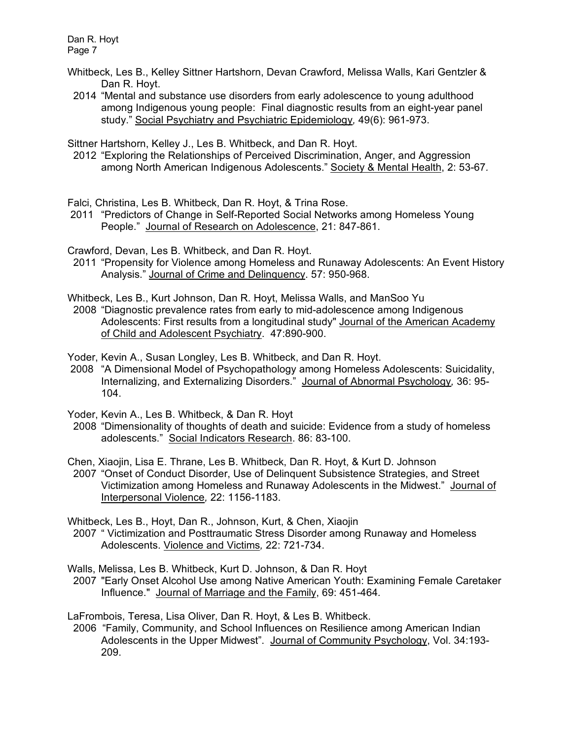- Whitbeck, Les B., Kelley Sittner Hartshorn, Devan Crawford, Melissa Walls, Kari Gentzler & Dan R. Hoyt.
- 2014 "Mental and substance use disorders from early adolescence to young adulthood among Indigenous young people: Final diagnostic results from an eight-year panel study." Social Psychiatry and Psychiatric Epidemiology*,* 49(6): 961-973.

Sittner Hartshorn, Kelley J., Les B. Whitbeck, and Dan R. Hoyt.

2012 "Exploring the Relationships of Perceived Discrimination, Anger, and Aggression among North American Indigenous Adolescents." Society & Mental Health, 2: 53-67*.*

Falci, Christina, Les B. Whitbeck, Dan R. Hoyt, & Trina Rose.

2011 "Predictors of Change in Self-Reported Social Networks among Homeless Young People." Journal of Research on Adolescence, 21: 847-861.

Crawford, Devan, Les B. Whitbeck, and Dan R. Hoyt.

 2011 "Propensity for Violence among Homeless and Runaway Adolescents: An Event History Analysis." Journal of Crime and Delinquency. 57: 950-968.

Whitbeck, Les B., Kurt Johnson, Dan R. Hoyt, Melissa Walls, and ManSoo Yu

 2008 "Diagnostic prevalence rates from early to mid-adolescence among Indigenous Adolescents: First results from a longitudinal study" Journal of the American Academy of Child and Adolescent Psychiatry. 47:890-900.

Yoder, Kevin A., Susan Longley, Les B. Whitbeck, and Dan R. Hoyt.

- 2008 "A Dimensional Model of Psychopathology among Homeless Adolescents: Suicidality, Internalizing, and Externalizing Disorders." Journal of Abnormal Psychology*,* 36: 95- 104.
- Yoder, Kevin A., Les B. Whitbeck, & Dan R. Hoyt
- 2008 "Dimensionality of thoughts of death and suicide: Evidence from a study of homeless adolescents." Social Indicators Research. 86: 83-100.

Chen, Xiaojin, Lisa E. Thrane, Les B. Whitbeck, Dan R. Hoyt, & Kurt D. Johnson

 2007 "Onset of Conduct Disorder, Use of Delinquent Subsistence Strategies, and Street Victimization among Homeless and Runaway Adolescents in the Midwest." Journal of Interpersonal Violence*,* 22: 1156-1183.

Whitbeck, Les B., Hoyt, Dan R., Johnson, Kurt, & Chen, Xiaojin

- 2007 " Victimization and Posttraumatic Stress Disorder among Runaway and Homeless Adolescents. Violence and Victims*,* 22: 721-734.
- Walls, Melissa, Les B. Whitbeck, Kurt D. Johnson, & Dan R. Hoyt
- 2007 "Early Onset Alcohol Use among Native American Youth: Examining Female Caretaker Influence." Journal of Marriage and the Family, 69: 451-464*.*

LaFrombois, Teresa, Lisa Oliver, Dan R. Hoyt, & Les B. Whitbeck.

 2006 "Family, Community, and School Influences on Resilience among American Indian Adolescents in the Upper Midwest". Journal of Community Psychology, Vol. 34:193- 209.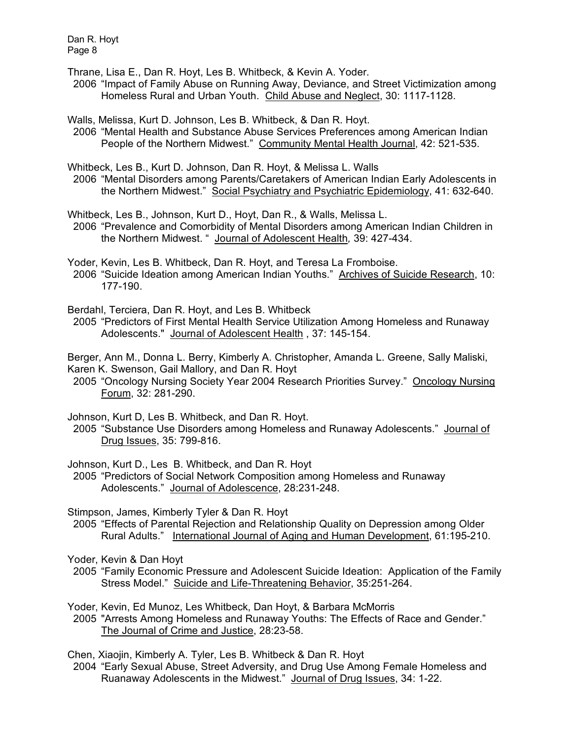Thrane, Lisa E., Dan R. Hoyt, Les B. Whitbeck, & Kevin A. Yoder.

 2006 "Impact of Family Abuse on Running Away, Deviance, and Street Victimization among Homeless Rural and Urban Youth. Child Abuse and Neglect, 30: 1117-1128.

Walls, Melissa, Kurt D. Johnson, Les B. Whitbeck, & Dan R. Hoyt.

 2006 "Mental Health and Substance Abuse Services Preferences among American Indian People of the Northern Midwest." Community Mental Health Journal, 42: 521-535.

Whitbeck, Les B., Kurt D. Johnson, Dan R. Hoyt, & Melissa L. Walls

 2006 "Mental Disorders among Parents/Caretakers of American Indian Early Adolescents in the Northern Midwest." Social Psychiatry and Psychiatric Epidemiology, 41: 632-640.

Whitbeck, Les B., Johnson, Kurt D., Hoyt, Dan R., & Walls, Melissa L.

 2006 "Prevalence and Comorbidity of Mental Disorders among American Indian Children in the Northern Midwest. " Journal of Adolescent Health*,* 39: 427-434.

Yoder, Kevin, Les B. Whitbeck, Dan R. Hoyt, and Teresa La Fromboise. 2006 "Suicide Ideation among American Indian Youths." Archives of Suicide Research, 10: 177-190.

Berdahl, Terciera, Dan R. Hoyt, and Les B. Whitbeck

 2005 "Predictors of First Mental Health Service Utilization Among Homeless and Runaway Adolescents." Journal of Adolescent Health , 37: 145-154.

Berger, Ann M., Donna L. Berry, Kimberly A. Christopher, Amanda L. Greene, Sally Maliski, Karen K. Swenson, Gail Mallory, and Dan R. Hoyt

 2005 "Oncology Nursing Society Year 2004 Research Priorities Survey." Oncology Nursing Forum, 32: 281-290.

Johnson, Kurt D, Les B. Whitbeck, and Dan R. Hoyt.

 2005 "Substance Use Disorders among Homeless and Runaway Adolescents." Journal of Drug Issues, 35: 799-816.

Johnson, Kurt D., Les B. Whitbeck, and Dan R. Hoyt

 2005 "Predictors of Social Network Composition among Homeless and Runaway Adolescents." Journal of Adolescence, 28:231-248.

Stimpson, James, Kimberly Tyler & Dan R. Hoyt

 2005 "Effects of Parental Rejection and Relationship Quality on Depression among Older Rural Adults." International Journal of Aging and Human Development, 61:195-210.

Yoder, Kevin & Dan Hoyt

 2005 "Family Economic Pressure and Adolescent Suicide Ideation: Application of the Family Stress Model." Suicide and Life-Threatening Behavior, 35:251-264.

Yoder, Kevin, Ed Munoz, Les Whitbeck, Dan Hoyt, & Barbara McMorris

 2005 "Arrests Among Homeless and Runaway Youths: The Effects of Race and Gender." The Journal of Crime and Justice, 28:23-58.

Chen, Xiaojin, Kimberly A. Tyler, Les B. Whitbeck & Dan R. Hoyt

 2004 "Early Sexual Abuse, Street Adversity, and Drug Use Among Female Homeless and Ruanaway Adolescents in the Midwest." Journal of Drug Issues, 34: 1-22.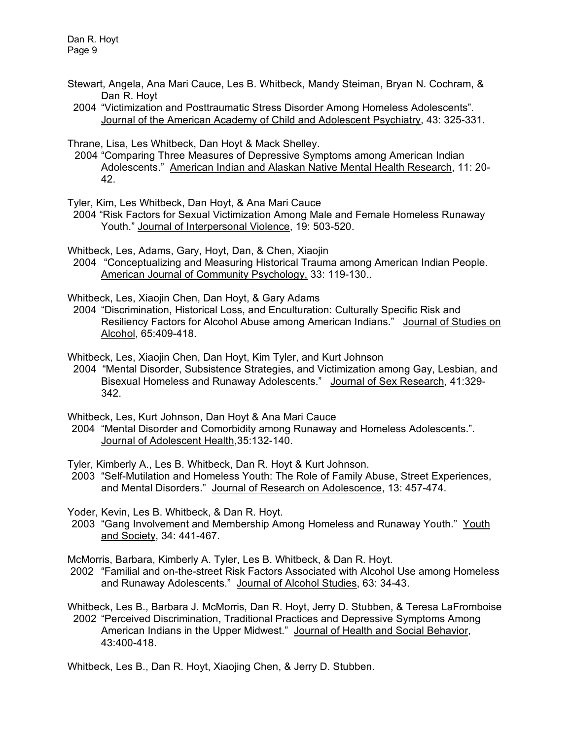- Stewart, Angela, Ana Mari Cauce, Les B. Whitbeck, Mandy Steiman, Bryan N. Cochram, & Dan R. Hoyt
- 2004 "Victimization and Posttraumatic Stress Disorder Among Homeless Adolescents". Journal of the American Academy of Child and Adolescent Psychiatry, 43: 325-331.

Thrane, Lisa, Les Whitbeck, Dan Hoyt & Mack Shelley.

2004 "Comparing Three Measures of Depressive Symptoms among American Indian Adolescents." American Indian and Alaskan Native Mental Health Research, 11: 20- 42.

Tyler, Kim, Les Whitbeck, Dan Hoyt, & Ana Mari Cauce

 2004 "Risk Factors for Sexual Victimization Among Male and Female Homeless Runaway Youth." Journal of Interpersonal Violence, 19: 503-520.

Whitbeck, Les, Adams, Gary, Hoyt, Dan, & Chen, Xiaojin 2004 "Conceptualizing and Measuring Historical Trauma among American Indian People. American Journal of Community Psychology, 33: 119-130..

Whitbeck, Les, Xiaojin Chen, Dan Hoyt, & Gary Adams

 2004 "Discrimination, Historical Loss, and Enculturation: Culturally Specific Risk and Resiliency Factors for Alcohol Abuse among American Indians." Journal of Studies on Alcohol, 65:409-418.

Whitbeck, Les, Xiaojin Chen, Dan Hoyt, Kim Tyler, and Kurt Johnson

 2004 "Mental Disorder, Subsistence Strategies, and Victimization among Gay, Lesbian, and Bisexual Homeless and Runaway Adolescents." Journal of Sex Research, 41:329- 342.

Whitbeck, Les, Kurt Johnson, Dan Hoyt & Ana Mari Cauce

2004 "Mental Disorder and Comorbidity among Runaway and Homeless Adolescents.". Journal of Adolescent Health,35:132-140.

Tyler, Kimberly A., Les B. Whitbeck, Dan R. Hoyt & Kurt Johnson.

2003 "Self-Mutilation and Homeless Youth: The Role of Family Abuse, Street Experiences, and Mental Disorders." Journal of Research on Adolescence, 13: 457-474.

Yoder, Kevin, Les B. Whitbeck, & Dan R. Hoyt.

2003 "Gang Involvement and Membership Among Homeless and Runaway Youth." Youth and Society, 34: 441-467.

McMorris, Barbara, Kimberly A. Tyler, Les B. Whitbeck, & Dan R. Hoyt.

2002 "Familial and on-the-street Risk Factors Associated with Alcohol Use among Homeless and Runaway Adolescents." Journal of Alcohol Studies, 63: 34-43.

Whitbeck, Les B., Barbara J. McMorris, Dan R. Hoyt, Jerry D. Stubben, & Teresa LaFromboise 2002 "Perceived Discrimination, Traditional Practices and Depressive Symptoms Among American Indians in the Upper Midwest." Journal of Health and Social Behavior, 43:400-418.

Whitbeck, Les B., Dan R. Hoyt, Xiaojing Chen, & Jerry D. Stubben.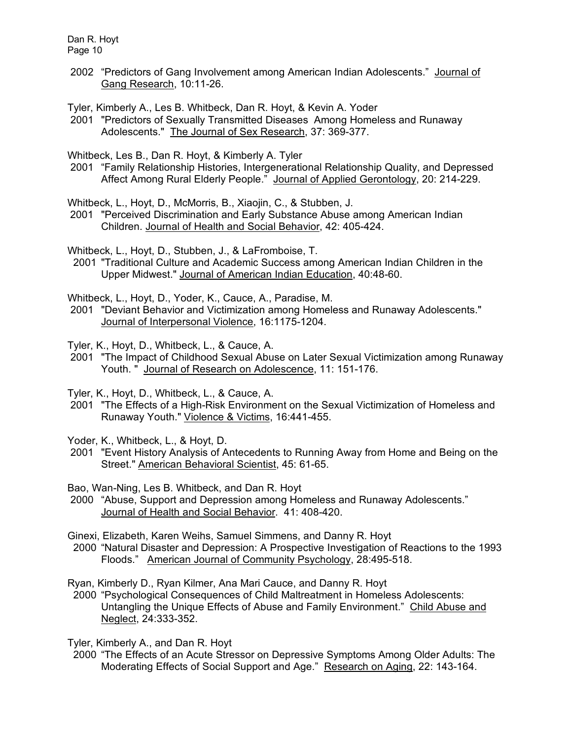2002 "Predictors of Gang Involvement among American Indian Adolescents." Journal of Gang Research, 10:11-26.

Tyler, Kimberly A., Les B. Whitbeck, Dan R. Hoyt, & Kevin A. Yoder

2001 "Predictors of Sexually Transmitted Diseases Among Homeless and Runaway Adolescents." The Journal of Sex Research, 37: 369-377.

Whitbeck, Les B., Dan R. Hoyt, & Kimberly A. Tyler

2001 "Family Relationship Histories, Intergenerational Relationship Quality, and Depressed Affect Among Rural Elderly People." Journal of Applied Gerontology, 20: 214-229.

Whitbeck, L., Hoyt, D., McMorris, B., Xiaojin, C., & Stubben, J.

2001 "Perceived Discrimination and Early Substance Abuse among American Indian Children. Journal of Health and Social Behavior, 42: 405-424.

Whitbeck, L., Hoyt, D., Stubben, J., & LaFromboise, T.

 2001 "Traditional Culture and Academic Success among American Indian Children in the Upper Midwest." Journal of American Indian Education, 40:48-60.

Whitbeck, L., Hoyt, D., Yoder, K., Cauce, A., Paradise, M.

2001 "Deviant Behavior and Victimization among Homeless and Runaway Adolescents." Journal of Interpersonal Violence, 16:1175-1204.

Tyler, K., Hoyt, D., Whitbeck, L., & Cauce, A.

2001 "The Impact of Childhood Sexual Abuse on Later Sexual Victimization among Runaway Youth. " Journal of Research on Adolescence, 11: 151-176.

Tyler, K., Hoyt, D., Whitbeck, L., & Cauce, A.

2001 "The Effects of a High-Risk Environment on the Sexual Victimization of Homeless and Runaway Youth." Violence & Victims, 16:441-455.

Yoder, K., Whitbeck, L., & Hoyt, D.

2001 "Event History Analysis of Antecedents to Running Away from Home and Being on the Street." American Behavioral Scientist, 45: 61-65.

Bao, Wan-Ning, Les B. Whitbeck, and Dan R. Hoyt

- 2000 "Abuse, Support and Depression among Homeless and Runaway Adolescents." Journal of Health and Social Behavior. 41: 408-420.
- Ginexi, Elizabeth, Karen Weihs, Samuel Simmens, and Danny R. Hoyt 2000 "Natural Disaster and Depression: A Prospective Investigation of Reactions to the 1993 Floods." American Journal of Community Psychology, 28:495-518.

Ryan, Kimberly D., Ryan Kilmer, Ana Mari Cauce, and Danny R. Hoyt

 2000 "Psychological Consequences of Child Maltreatment in Homeless Adolescents: Untangling the Unique Effects of Abuse and Family Environment." Child Abuse and Neglect, 24:333-352.

Tyler, Kimberly A., and Dan R. Hoyt

 2000 "The Effects of an Acute Stressor on Depressive Symptoms Among Older Adults: The Moderating Effects of Social Support and Age." Research on Aging, 22: 143-164.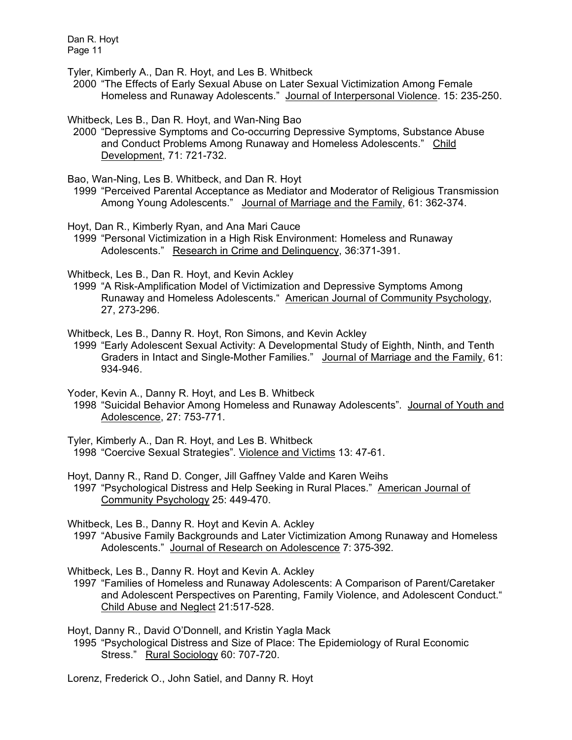Tyler, Kimberly A., Dan R. Hoyt, and Les B. Whitbeck

 2000 "The Effects of Early Sexual Abuse on Later Sexual Victimization Among Female Homeless and Runaway Adolescents." Journal of Interpersonal Violence. 15: 235-250.

Whitbeck, Les B., Dan R. Hoyt, and Wan-Ning Bao

 2000 "Depressive Symptoms and Co-occurring Depressive Symptoms, Substance Abuse and Conduct Problems Among Runaway and Homeless Adolescents." Child Development, 71: 721-732.

Bao, Wan-Ning, Les B. Whitbeck, and Dan R. Hoyt

 1999 "Perceived Parental Acceptance as Mediator and Moderator of Religious Transmission Among Young Adolescents." Journal of Marriage and the Family, 61: 362-374.

Hoyt, Dan R., Kimberly Ryan, and Ana Mari Cauce

 1999 "Personal Victimization in a High Risk Environment: Homeless and Runaway Adolescents." Research in Crime and Delinquency, 36:371-391.

Whitbeck, Les B., Dan R. Hoyt, and Kevin Ackley

1999 "A Risk-Amplification Model of Victimization and Depressive Symptoms Among Runaway and Homeless Adolescents." American Journal of Community Psychology, 27, 273-296.

Whitbeck, Les B., Danny R. Hoyt, Ron Simons, and Kevin Ackley

 1999 "Early Adolescent Sexual Activity: A Developmental Study of Eighth, Ninth, and Tenth Graders in Intact and Single-Mother Families." Journal of Marriage and the Family, 61: 934-946.

Yoder, Kevin A., Danny R. Hoyt, and Les B. Whitbeck

- 1998 "Suicidal Behavior Among Homeless and Runaway Adolescents". Journal of Youth and Adolescence, 27: 753-771.
- Tyler, Kimberly A., Dan R. Hoyt, and Les B. Whitbeck 1998 "Coercive Sexual Strategies". Violence and Victims 13: 47-61.
- Hoyt, Danny R., Rand D. Conger, Jill Gaffney Valde and Karen Weihs 1997 "Psychological Distress and Help Seeking in Rural Places." American Journal of Community Psychology 25: 449-470.

Whitbeck, Les B., Danny R. Hoyt and Kevin A. Ackley

 1997 "Abusive Family Backgrounds and Later Victimization Among Runaway and Homeless Adolescents." Journal of Research on Adolescence 7: 375-392.

Whitbeck, Les B., Danny R. Hoyt and Kevin A. Ackley

 1997 "Families of Homeless and Runaway Adolescents: A Comparison of Parent/Caretaker and Adolescent Perspectives on Parenting, Family Violence, and Adolescent Conduct." Child Abuse and Neglect 21:517-528.

Hoyt, Danny R., David O'Donnell, and Kristin Yagla Mack 1995 "Psychological Distress and Size of Place: The Epidemiology of Rural Economic Stress." Rural Sociology 60: 707-720.

Lorenz, Frederick O., John Satiel, and Danny R. Hoyt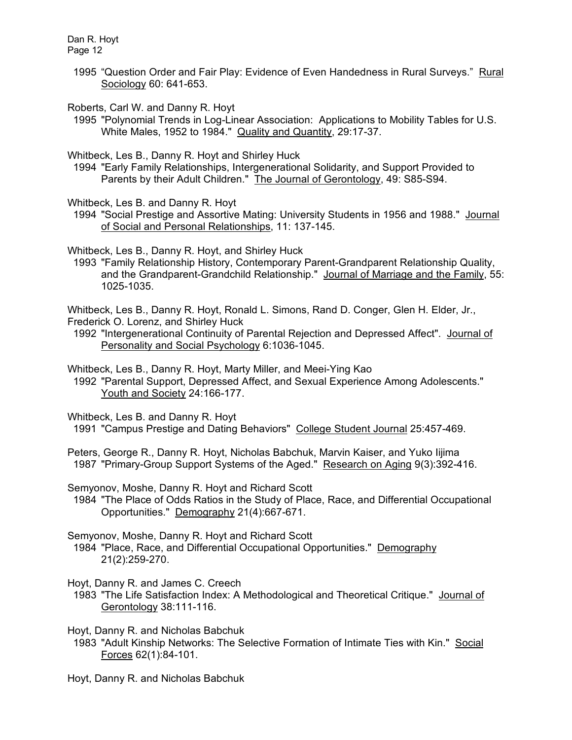> 1995 "Question Order and Fair Play: Evidence of Even Handedness in Rural Surveys." Rural Sociology 60: 641-653.

Roberts, Carl W. and Danny R. Hoyt

 1995 "Polynomial Trends in Log-Linear Association: Applications to Mobility Tables for U.S. White Males, 1952 to 1984." Quality and Quantity, 29:17-37.

Whitbeck, Les B., Danny R. Hoyt and Shirley Huck

 1994 "Early Family Relationships, Intergenerational Solidarity, and Support Provided to Parents by their Adult Children." The Journal of Gerontology, 49: S85-S94.

Whitbeck, Les B. and Danny R. Hoyt

1994 "Social Prestige and Assortive Mating: University Students in 1956 and 1988." Journal of Social and Personal Relationships, 11: 137-145.

Whitbeck, Les B., Danny R. Hoyt, and Shirley Huck

 1993 "Family Relationship History, Contemporary Parent-Grandparent Relationship Quality, and the Grandparent-Grandchild Relationship." Journal of Marriage and the Family, 55: 1025-1035.

Whitbeck, Les B., Danny R. Hoyt, Ronald L. Simons, Rand D. Conger, Glen H. Elder, Jr., Frederick O. Lorenz, and Shirley Huck

 1992 "Intergenerational Continuity of Parental Rejection and Depressed Affect". Journal of Personality and Social Psychology 6:1036-1045.

Whitbeck, Les B., Danny R. Hoyt, Marty Miller, and Meei-Ying Kao

 1992 "Parental Support, Depressed Affect, and Sexual Experience Among Adolescents." Youth and Society 24:166-177.

Whitbeck, Les B. and Danny R. Hoyt

1991 "Campus Prestige and Dating Behaviors" College Student Journal 25:457-469.

Peters, George R., Danny R. Hoyt, Nicholas Babchuk, Marvin Kaiser, and Yuko Iijima 1987 "Primary-Group Support Systems of the Aged." Research on Aging 9(3):392-416.

Semyonov, Moshe, Danny R. Hoyt and Richard Scott

 1984 "The Place of Odds Ratios in the Study of Place, Race, and Differential Occupational Opportunities." Demography 21(4):667-671.

Semyonov, Moshe, Danny R. Hoyt and Richard Scott 1984 "Place, Race, and Differential Occupational Opportunities." Demography 21(2):259-270.

Hoyt, Danny R. and James C. Creech

 1983 "The Life Satisfaction Index: A Methodological and Theoretical Critique." Journal of Gerontology 38:111-116.

Hoyt, Danny R. and Nicholas Babchuk

 1983 "Adult Kinship Networks: The Selective Formation of Intimate Ties with Kin." Social Forces 62(1):84-101.

Hoyt, Danny R. and Nicholas Babchuk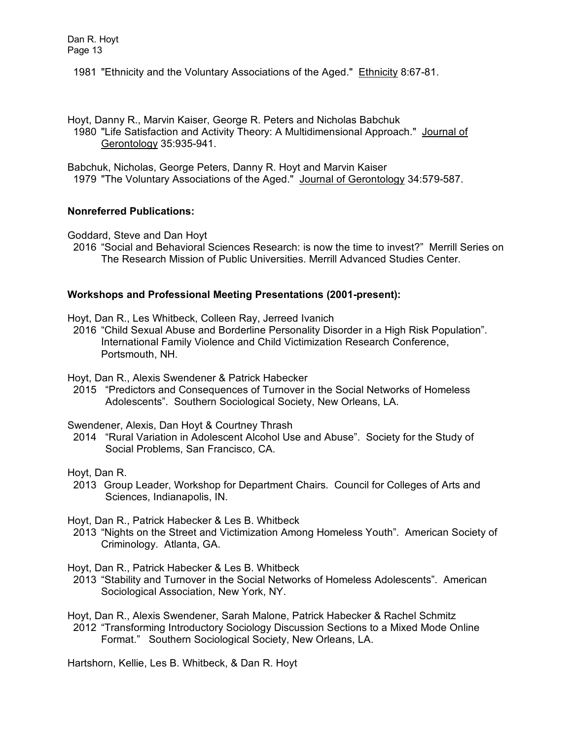- 1981 "Ethnicity and the Voluntary Associations of the Aged." Ethnicity 8:67-81.
- Hoyt, Danny R., Marvin Kaiser, George R. Peters and Nicholas Babchuk 1980 "Life Satisfaction and Activity Theory: A Multidimensional Approach." Journal of Gerontology 35:935-941.

Babchuk, Nicholas, George Peters, Danny R. Hoyt and Marvin Kaiser 1979 "The Voluntary Associations of the Aged." Journal of Gerontology 34:579-587.

# **Nonreferred Publications:**

Goddard, Steve and Dan Hoyt

2016 "Social and Behavioral Sciences Research: is now the time to invest?" Merrill Series on The Research Mission of Public Universities. Merrill Advanced Studies Center.

# **Workshops and Professional Meeting Presentations (2001-present):**

Hoyt, Dan R., Les Whitbeck, Colleen Ray, Jerreed Ivanich

 2016 "Child Sexual Abuse and Borderline Personality Disorder in a High Risk Population". International Family Violence and Child Victimization Research Conference, Portsmouth, NH.

Hoyt, Dan R., Alexis Swendener & Patrick Habecker

 2015 "Predictors and Consequences of Turnover in the Social Networks of Homeless Adolescents". Southern Sociological Society, New Orleans, LA.

Swendener, Alexis, Dan Hoyt & Courtney Thrash

 2014 "Rural Variation in Adolescent Alcohol Use and Abuse". Society for the Study of Social Problems, San Francisco, CA.

Hoyt, Dan R.

 2013 Group Leader, Workshop for Department Chairs. Council for Colleges of Arts and Sciences, Indianapolis, IN.

Hoyt, Dan R., Patrick Habecker & Les B. Whitbeck

 2013 "Nights on the Street and Victimization Among Homeless Youth". American Society of Criminology. Atlanta, GA.

Hoyt, Dan R., Patrick Habecker & Les B. Whitbeck

- 2013 "Stability and Turnover in the Social Networks of Homeless Adolescents". American Sociological Association, New York, NY.
- Hoyt, Dan R., Alexis Swendener, Sarah Malone, Patrick Habecker & Rachel Schmitz 2012 "Transforming Introductory Sociology Discussion Sections to a Mixed Mode Online Format." Southern Sociological Society, New Orleans, LA.

Hartshorn, Kellie, Les B. Whitbeck, & Dan R. Hoyt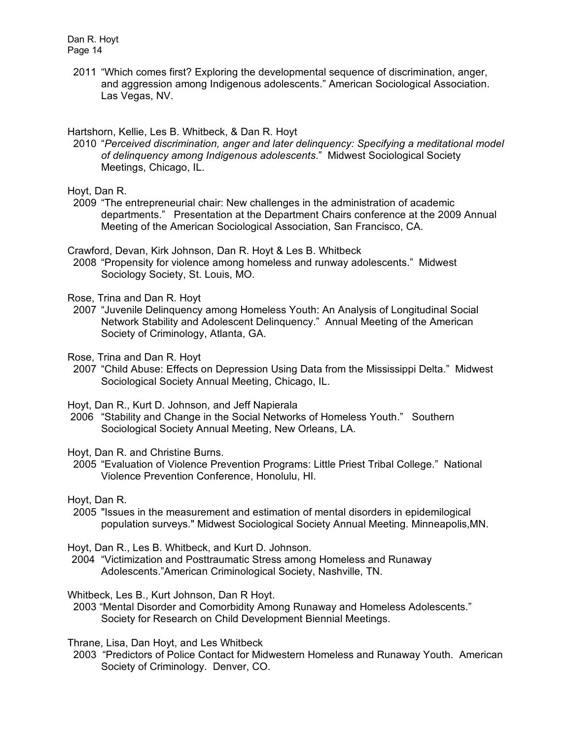2011 "Which comes first? Exploring the developmental sequence of discrimination, anger, and aggression among Indigenous adolescents." American Sociological Association. Las Vegas, NV.

## Hartshorn, Kellie, Les B. Whitbeck, & Dan R. Hoyt

 2010 "*Perceived discrimination, anger and later delinquency: Specifying a meditational model of delinquency among Indigenous adolescents*." Midwest Sociological Society Meetings, Chicago, IL.

# Hoyt, Dan R.

 2009 "The entrepreneurial chair: New challenges in the administration of academic departments." Presentation at the Department Chairs conference at the 2009 Annual Meeting of the American Sociological Association, San Francisco, CA.

Crawford, Devan, Kirk Johnson, Dan R. Hoyt & Les B. Whitbeck

 2008 "Propensity for violence among homeless and runway adolescents." Midwest Sociology Society, St. Louis, MO.

Rose, Trina and Dan R. Hoyt

 2007 "Juvenile Delinquency among Homeless Youth: An Analysis of Longitudinal Social Network Stability and Adolescent Delinquency." Annual Meeting of the American Society of Criminology, Atlanta, GA.

Rose, Trina and Dan R. Hoyt

 2007 "Child Abuse: Effects on Depression Using Data from the Mississippi Delta." Midwest Sociological Society Annual Meeting, Chicago, IL.

Hoyt, Dan R., Kurt D. Johnson, and Jeff Napierala

2006 "Stability and Change in the Social Networks of Homeless Youth." Southern Sociological Society Annual Meeting, New Orleans, LA.

Hoyt, Dan R. and Christine Burns.

 2005 "Evaluation of Violence Prevention Programs: Little Priest Tribal College." National Violence Prevention Conference, Honolulu, HI.

Hoyt, Dan R.

 2005 "Issues in the measurement and estimation of mental disorders in epidemilogical population surveys." Midwest Sociological Society Annual Meeting. Minneapolis,MN.

Hoyt, Dan R., Les B. Whitbeck, and Kurt D. Johnson.

2004 "Victimization and Posttraumatic Stress among Homeless and Runaway Adolescents."American Criminological Society, Nashville, TN.

Whitbeck, Les B., Kurt Johnson, Dan R Hoyt.

 2003 "Mental Disorder and Comorbidity Among Runaway and Homeless Adolescents." Society for Research on Child Development Biennial Meetings.

Thrane, Lisa, Dan Hoyt, and Les Whitbeck

 2003 "Predictors of Police Contact for Midwestern Homeless and Runaway Youth. American Society of Criminology. Denver, CO.